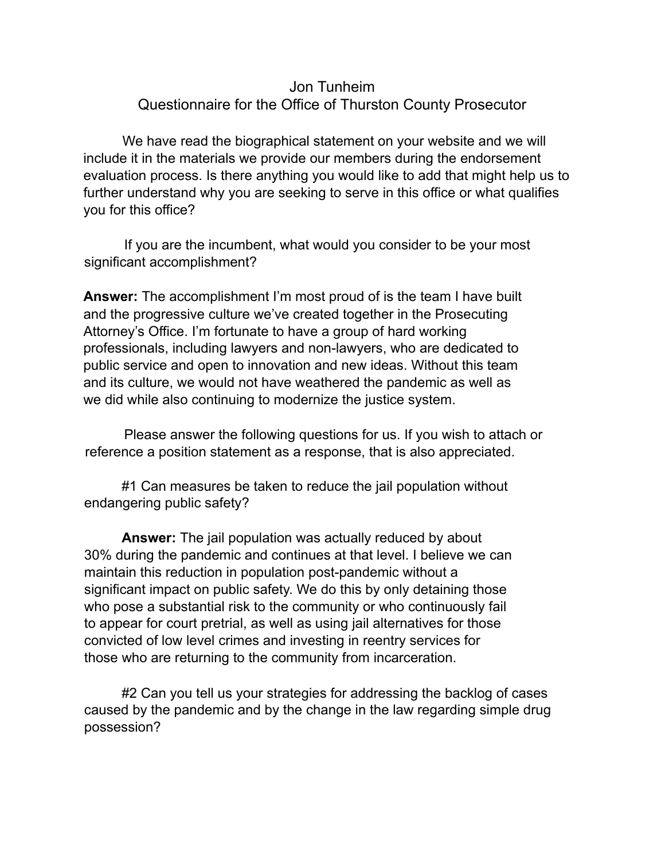## Jon Tunheim Questionnaire for the Office of Thurston County Prosecutor

We have read the biographical statement on your website and we will include it in the materials we provide our members during the endorsement evaluation process. Is there anything you would like to add that might help us to further understand why you are seeking to serve in this office or what qualifies you for this office?

If you are the incumbent, what would you consider to be your most significant accomplishment?

**Answer:** The accomplishment I'm most proud of is the team I have built and the progressive culture we've created together in the Prosecuting Attorney's Office. I'm fortunate to have a group of hard working professionals, including lawyers and non-lawyers, who are dedicated to public service and open to innovation and new ideas. Without this team and its culture, we would not have weathered the pandemic as well as we did while also continuing to modernize the justice system.

Please answer the following questions for us. If you wish to attach or reference a position statement as a response, that is also appreciated.

#1 Can measures be taken to reduce the jail population without endangering public safety?

**Answer:** The jail population was actually reduced by about 30% during the pandemic and continues at that level. I believe we can maintain this reduction in population post-pandemic without a significant impact on public safety. We do this by only detaining those who pose a substantial risk to the community or who continuously fail to appear for court pretrial, as well as using jail alternatives for those convicted of low level crimes and investing in reentry services for those who are returning to the community from incarceration.

#2 Can you tell us your strategies for addressing the backlog of cases caused by the pandemic and by the change in the law regarding simple drug possession?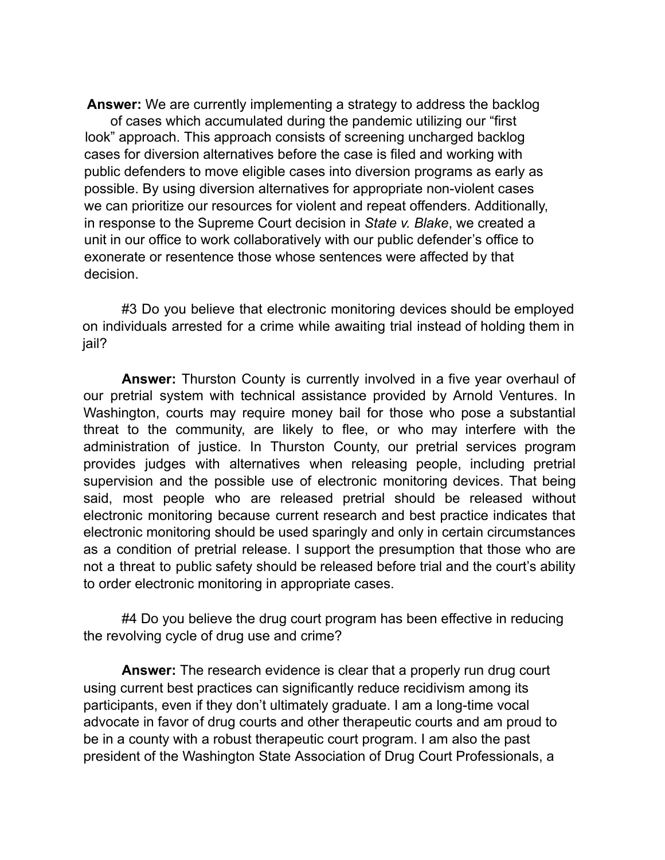**Answer:** We are currently implementing a strategy to address the backlog

of cases which accumulated during the pandemic utilizing our "first look" approach. This approach consists of screening uncharged backlog cases for diversion alternatives before the case is filed and working with public defenders to move eligible cases into diversion programs as early as possible. By using diversion alternatives for appropriate non-violent cases we can prioritize our resources for violent and repeat offenders. Additionally, in response to the Supreme Court decision in *State v. Blake*, we created a unit in our office to work collaboratively with our public defender's office to exonerate or resentence those whose sentences were affected by that decision.

#3 Do you believe that electronic monitoring devices should be employed on individuals arrested for a crime while awaiting trial instead of holding them in jail?

**Answer:** Thurston County is currently involved in a five year overhaul of our pretrial system with technical assistance provided by Arnold Ventures. In Washington, courts may require money bail for those who pose a substantial threat to the community, are likely to flee, or who may interfere with the administration of justice. In Thurston County, our pretrial services program provides judges with alternatives when releasing people, including pretrial supervision and the possible use of electronic monitoring devices. That being said, most people who are released pretrial should be released without electronic monitoring because current research and best practice indicates that electronic monitoring should be used sparingly and only in certain circumstances as a condition of pretrial release. I support the presumption that those who are not a threat to public safety should be released before trial and the court's ability to order electronic monitoring in appropriate cases.

#4 Do you believe the drug court program has been effective in reducing the revolving cycle of drug use and crime?

**Answer:** The research evidence is clear that a properly run drug court using current best practices can significantly reduce recidivism among its participants, even if they don't ultimately graduate. I am a long-time vocal advocate in favor of drug courts and other therapeutic courts and am proud to be in a county with a robust therapeutic court program. I am also the past president of the Washington State Association of Drug Court Professionals, a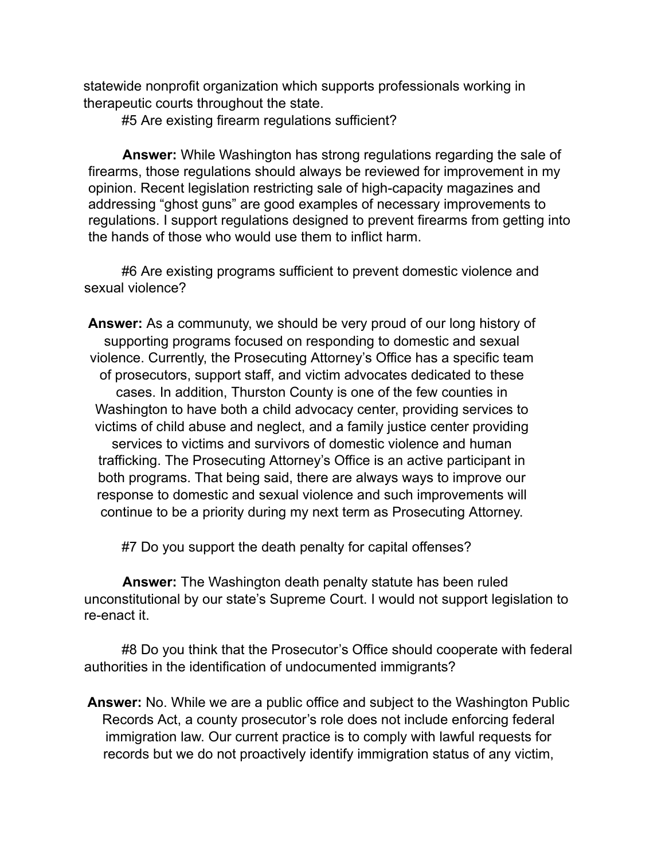statewide nonprofit organization which supports professionals working in therapeutic courts throughout the state.

#5 Are existing firearm regulations sufficient?

**Answer:** While Washington has strong regulations regarding the sale of firearms, those regulations should always be reviewed for improvement in my opinion. Recent legislation restricting sale of high-capacity magazines and addressing "ghost guns" are good examples of necessary improvements to regulations. I support regulations designed to prevent firearms from getting into the hands of those who would use them to inflict harm.

#6 Are existing programs sufficient to prevent domestic violence and sexual violence?

**Answer:** As a communuty, we should be very proud of our long history of supporting programs focused on responding to domestic and sexual violence. Currently, the Prosecuting Attorney's Office has a specific team of prosecutors, support staff, and victim advocates dedicated to these cases. In addition, Thurston County is one of the few counties in Washington to have both a child advocacy center, providing services to victims of child abuse and neglect, and a family justice center providing services to victims and survivors of domestic violence and human trafficking. The Prosecuting Attorney's Office is an active participant in both programs. That being said, there are always ways to improve our response to domestic and sexual violence and such improvements will continue to be a priority during my next term as Prosecuting Attorney.

#7 Do you support the death penalty for capital offenses?

**Answer:** The Washington death penalty statute has been ruled unconstitutional by our state's Supreme Court. I would not support legislation to re-enact it.

#8 Do you think that the Prosecutor's Office should cooperate with federal authorities in the identification of undocumented immigrants?

**Answer:** No. While we are a public office and subject to the Washington Public Records Act, a county prosecutor's role does not include enforcing federal immigration law. Our current practice is to comply with lawful requests for records but we do not proactively identify immigration status of any victim,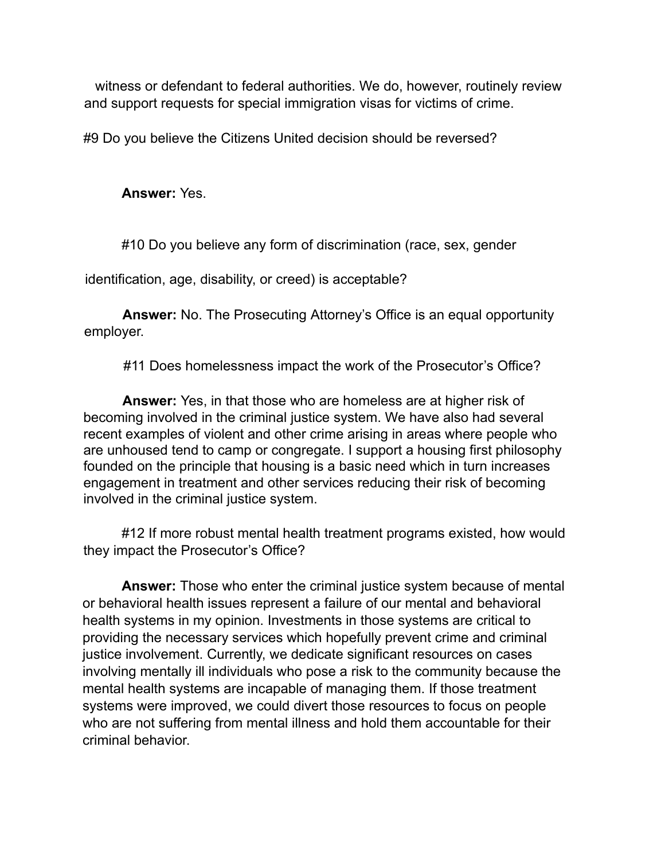witness or defendant to federal authorities. We do, however, routinely review and support requests for special immigration visas for victims of crime.

#9 Do you believe the Citizens United decision should be reversed?

**Answer:** Yes.

#10 Do you believe any form of discrimination (race, sex, gender

identification, age, disability, or creed) is acceptable?

**Answer:** No. The Prosecuting Attorney's Office is an equal opportunity employer.

#11 Does homelessness impact the work of the Prosecutor's Office?

**Answer:** Yes, in that those who are homeless are at higher risk of becoming involved in the criminal justice system. We have also had several recent examples of violent and other crime arising in areas where people who are unhoused tend to camp or congregate. I support a housing first philosophy founded on the principle that housing is a basic need which in turn increases engagement in treatment and other services reducing their risk of becoming involved in the criminal justice system.

#12 If more robust mental health treatment programs existed, how would they impact the Prosecutor's Office?

**Answer:** Those who enter the criminal justice system because of mental or behavioral health issues represent a failure of our mental and behavioral health systems in my opinion. Investments in those systems are critical to providing the necessary services which hopefully prevent crime and criminal justice involvement. Currently, we dedicate significant resources on cases involving mentally ill individuals who pose a risk to the community because the mental health systems are incapable of managing them. If those treatment systems were improved, we could divert those resources to focus on people who are not suffering from mental illness and hold them accountable for their criminal behavior.